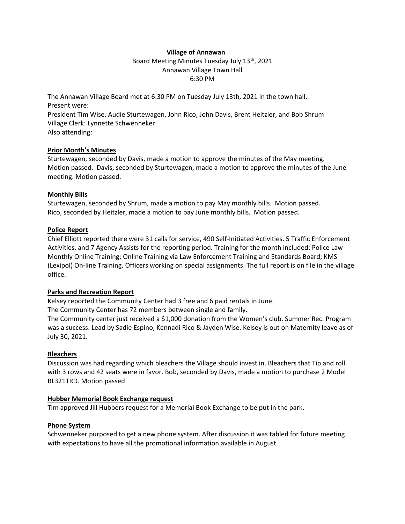# **Village of Annawan** Board Meeting Minutes Tuesday July 13<sup>th</sup>, 2021 Annawan Village Town Hall 6:30 PM

The Annawan Village Board met at 6:30 PM on Tuesday July 13th, 2021 in the town hall. Present were:

President Tim Wise, Audie Sturtewagen, John Rico, John Davis, Brent Heitzler, and Bob Shrum Village Clerk: Lynnette Schwenneker Also attending:

# **Prior Month's Minutes**

Sturtewagen, seconded by Davis, made a motion to approve the minutes of the May meeting. Motion passed. Davis, seconded by Sturtewagen, made a motion to approve the minutes of the June meeting. Motion passed.

# **Monthly Bills**

Sturtewagen, seconded by Shrum, made a motion to pay May monthly bills. Motion passed. Rico, seconded by Heitzler, made a motion to pay June monthly bills. Motion passed.

#### **Police Report**

Chief Elliott reported there were 31 calls for service, 490 Self-Initiated Activities, 5 Traffic Enforcement Activities, and 7 Agency Assists for the reporting period. Training for the month included: Police Law Monthly Online Training; Online Training via Law Enforcement Training and Standards Board; KMS (Lexipol) On-line Training. Officers working on special assignments. The full report is on file in the village office.

# **Parks and Recreation Report**

Kelsey reported the Community Center had 3 free and 6 paid rentals in June.

The Community Center has 72 members between single and family.

The Community center just received a \$1,000 donation from the Women's club. Summer Rec. Program was a success. Lead by Sadie Espino, Kennadi Rico & Jayden Wise. Kelsey is out on Maternity leave as of July 30, 2021.

# **Bleachers**

Discussion was had regarding which bleachers the Village should invest in. Bleachers that Tip and roll with 3 rows and 42 seats were in favor. Bob, seconded by Davis, made a motion to purchase 2 Model BL321TRD. Motion passed

# **Hubber Memorial Book Exchange request**

Tim approved Jill Hubbers request for a Memorial Book Exchange to be put in the park.

# **Phone System**

Schwenneker purposed to get a new phone system. After discussion it was tabled for future meeting with expectations to have all the promotional information available in August.